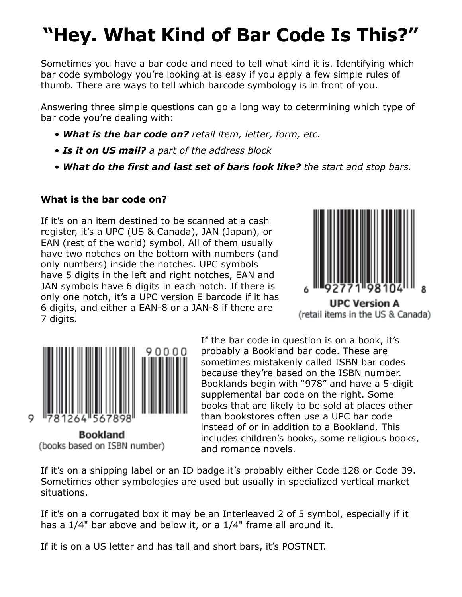## **"Hey. What Kind of Bar Code Is This?"**

Sometimes you have a bar code and need to tell what kind it is. Identifying which bar code symbology you're looking at is easy if you apply a few simple rules of thumb. There are ways to tell which barcode symbology is in front of you.

Answering three simple questions can go a long way to determining which type of bar code you're dealing with:

- *What is the bar code on? retail item, letter, form, etc.*
- *Is it on US mail? a part of the address block*
- *What do the first and last set of bars look like? the start and stop bars.*

## **What is the bar code on?**

If it's on an item destined to be scanned at a cash register, it's a UPC (US & Canada), JAN (Japan), or EAN (rest of the world) symbol. All of them usually have two notches on the bottom with numbers (and only numbers) inside the notches. UPC symbols have 5 digits in the left and right notches, EAN and JAN symbols have 6 digits in each notch. If there is only one notch, it's a UPC version E barcode if it has 6 digits, and either a EAN-8 or a JAN-8 if there are 7 digits.





**Bookland** (books based on ISBN number)

9

If the bar code in question is on a book, it's probably a Bookland bar code. These are sometimes mistakenly called ISBN bar codes because they're based on the ISBN number. Booklands begin with "978" and have a 5-digit supplemental bar code on the right. Some books that are likely to be sold at places other than bookstores often use a UPC bar code instead of or in addition to a Bookland. This includes children's books, some religious books, and romance novels.

If it's on a shipping label or an ID badge it's probably either Code 128 or Code 39. Sometimes other symbologies are used but usually in specialized vertical market situations.

If it's on a corrugated box it may be an Interleaved 2 of 5 symbol, especially if it has a 1/4" bar above and below it, or a 1/4" frame all around it.

If it is on a US letter and has tall and short bars, it's POSTNET.